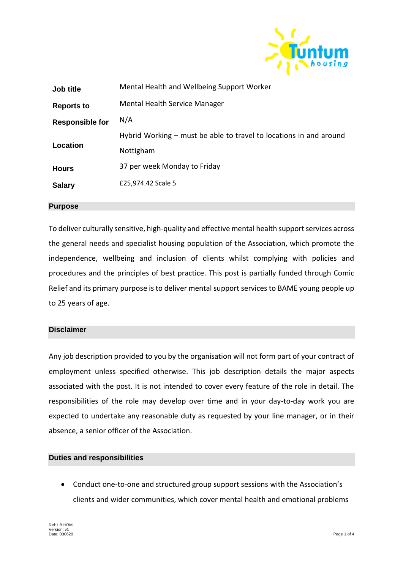

| Job title              | Mental Health and Wellbeing Support Worker                           |
|------------------------|----------------------------------------------------------------------|
| <b>Reports to</b>      | Mental Health Service Manager                                        |
| <b>Responsible for</b> | N/A                                                                  |
|                        | Hybrid Working $-$ must be able to travel to locations in and around |
| Location               | Nottigham                                                            |
| <b>Hours</b>           | 37 per week Monday to Friday                                         |
| <b>Salary</b>          | £25,974.42 Scale 5                                                   |
|                        |                                                                      |

## **Purpose**

To deliver culturally sensitive, high-quality and effective mental health support services across the general needs and specialist housing population of the Association, which promote the independence, wellbeing and inclusion of clients whilst complying with policies and procedures and the principles of best practice. This post is partially funded through Comic Relief and its primary purpose is to deliver mental support services to BAME young people up to 25 years of age.

## **Disclaimer**

Any job description provided to you by the organisation will not form part of your contract of employment unless specified otherwise. This job description details the major aspects associated with the post. It is not intended to cover every feature of the role in detail. The responsibilities of the role may develop over time and in your day-to-day work you are expected to undertake any reasonable duty as requested by your line manager, or in their absence, a senior officer of the Association.

## **Duties and responsibilities**

 Conduct one-to-one and structured group support sessions with the Association's clients and wider communities, which cover mental health and emotional problems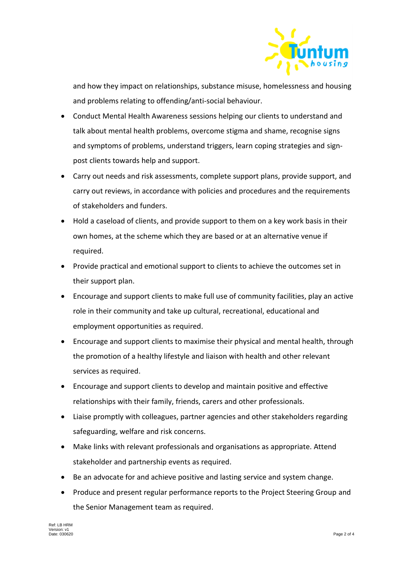

and how they impact on relationships, substance misuse, homelessness and housing and problems relating to offending/anti-social behaviour.

- Conduct Mental Health Awareness sessions helping our clients to understand and talk about mental health problems, overcome stigma and shame, recognise signs and symptoms of problems, understand triggers, learn coping strategies and signpost clients towards help and support.
- Carry out needs and risk assessments, complete support plans, provide support, and carry out reviews, in accordance with policies and procedures and the requirements of stakeholders and funders.
- Hold a caseload of clients, and provide support to them on a key work basis in their own homes, at the scheme which they are based or at an alternative venue if required.
- Provide practical and emotional support to clients to achieve the outcomes set in their support plan.
- Encourage and support clients to make full use of community facilities, play an active role in their community and take up cultural, recreational, educational and employment opportunities as required.
- Encourage and support clients to maximise their physical and mental health, through the promotion of a healthy lifestyle and liaison with health and other relevant services as required.
- Encourage and support clients to develop and maintain positive and effective relationships with their family, friends, carers and other professionals.
- Liaise promptly with colleagues, partner agencies and other stakeholders regarding safeguarding, welfare and risk concerns.
- Make links with relevant professionals and organisations as appropriate. Attend stakeholder and partnership events as required.
- Be an advocate for and achieve positive and lasting service and system change.
- Produce and present regular performance reports to the Project Steering Group and the Senior Management team as required.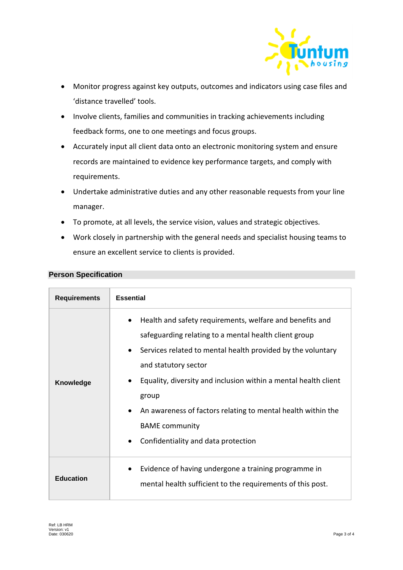

- Monitor progress against key outputs, outcomes and indicators using case files and 'distance travelled' tools.
- Involve clients, families and communities in tracking achievements including feedback forms, one to one meetings and focus groups.
- Accurately input all client data onto an electronic monitoring system and ensure records are maintained to evidence key performance targets, and comply with requirements.
- Undertake administrative duties and any other reasonable requests from your line manager.
- To promote, at all levels, the service vision, values and strategic objectives.
- Work closely in partnership with the general needs and specialist housing teams to ensure an excellent service to clients is provided.

| <b>Person Specification</b> |
|-----------------------------|
|-----------------------------|

| <b>Requirements</b> | <b>Essential</b>                                                                                                                                                                                                                                                                                                                                                                                                                               |
|---------------------|------------------------------------------------------------------------------------------------------------------------------------------------------------------------------------------------------------------------------------------------------------------------------------------------------------------------------------------------------------------------------------------------------------------------------------------------|
| Knowledge           | Health and safety requirements, welfare and benefits and<br>safeguarding relating to a mental health client group<br>Services related to mental health provided by the voluntary<br>$\bullet$<br>and statutory sector<br>Equality, diversity and inclusion within a mental health client<br>group<br>An awareness of factors relating to mental health within the<br><b>BAME</b> community<br>Confidentiality and data protection<br>$\bullet$ |
| <b>Education</b>    | Evidence of having undergone a training programme in<br>mental health sufficient to the requirements of this post.                                                                                                                                                                                                                                                                                                                             |